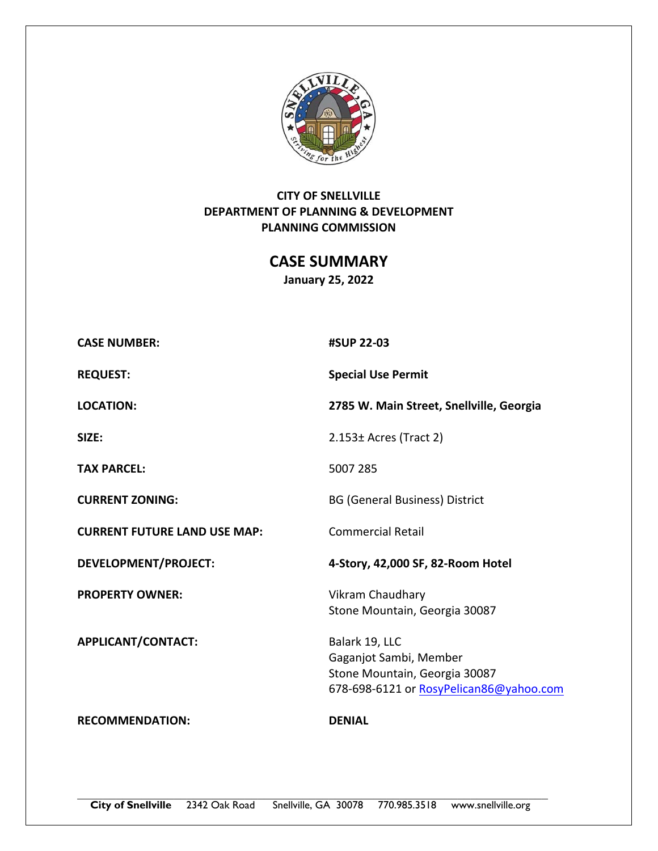

# **CITY OF SNELLVILLE DEPARTMENT OF PLANNING & DEVELOPMENT PLANNING COMMISSION**

**CASE SUMMARY January 25, 2022** 

| <b>CASE NUMBER:</b>                 | #SUP 22-03                                                                                                           |
|-------------------------------------|----------------------------------------------------------------------------------------------------------------------|
| <b>REQUEST:</b>                     | <b>Special Use Permit</b>                                                                                            |
| <b>LOCATION:</b>                    | 2785 W. Main Street, Snellville, Georgia                                                                             |
| SIZE:                               | $2.153±$ Acres (Tract 2)                                                                                             |
| <b>TAX PARCEL:</b>                  | 5007 285                                                                                                             |
| <b>CURRENT ZONING:</b>              | <b>BG (General Business) District</b>                                                                                |
| <b>CURRENT FUTURE LAND USE MAP:</b> | <b>Commercial Retail</b>                                                                                             |
| <b>DEVELOPMENT/PROJECT:</b>         | 4-Story, 42,000 SF, 82-Room Hotel                                                                                    |
| <b>PROPERTY OWNER:</b>              | Vikram Chaudhary<br>Stone Mountain, Georgia 30087                                                                    |
| APPLICANT/CONTACT:                  | Balark 19, LLC<br>Gaganjot Sambi, Member<br>Stone Mountain, Georgia 30087<br>678-698-6121 or RosyPelican86@yahoo.com |
| <b>RECOMMENDATION:</b>              | <b>DENIAL</b>                                                                                                        |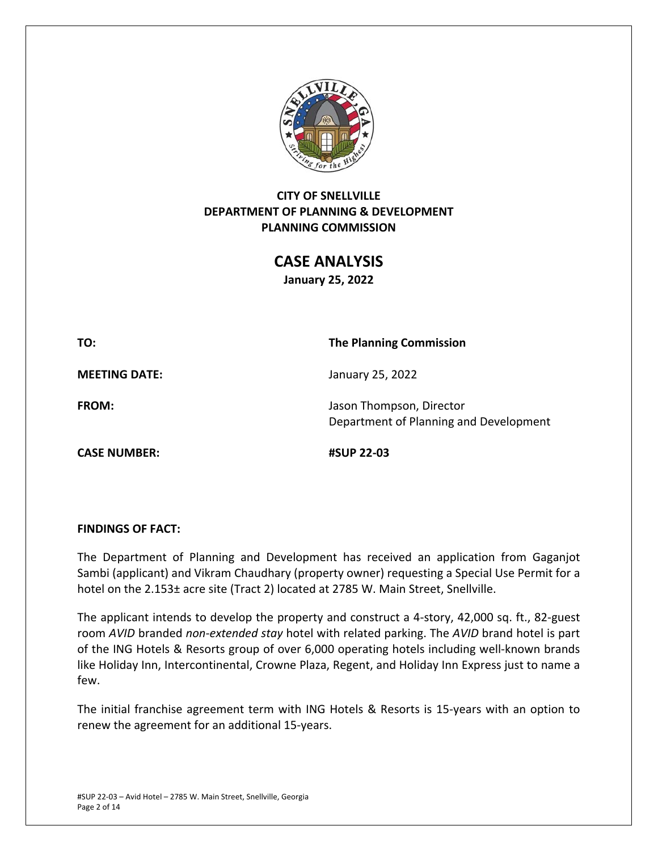

# **CITY OF SNELLVILLE DEPARTMENT OF PLANNING & DEVELOPMENT PLANNING COMMISSION**

**CASE ANALYSIS January 25, 2022** 

**TO: The Planning Commission** 

**MEETING DATE:**  January 25, 2022

**CASE NUMBER: #SUP 22‐03** 

**FROM: In the U.S. Islaming Contract Contract Contract Contract Contract Jason Thompson, Director** Department of Planning and Development

## **FINDINGS OF FACT:**

The Department of Planning and Development has received an application from Gaganjot Sambi (applicant) and Vikram Chaudhary (property owner) requesting a Special Use Permit for a hotel on the 2.153± acre site (Tract 2) located at 2785 W. Main Street, Snellville.

The applicant intends to develop the property and construct a 4‐story, 42,000 sq. ft., 82‐guest room *AVID* branded *non‐extended stay* hotel with related parking. The *AVID* brand hotel is part of the ING Hotels & Resorts group of over 6,000 operating hotels including well‐known brands like Holiday Inn, Intercontinental, Crowne Plaza, Regent, and Holiday Inn Express just to name a few.

The initial franchise agreement term with ING Hotels & Resorts is 15‐years with an option to renew the agreement for an additional 15‐years.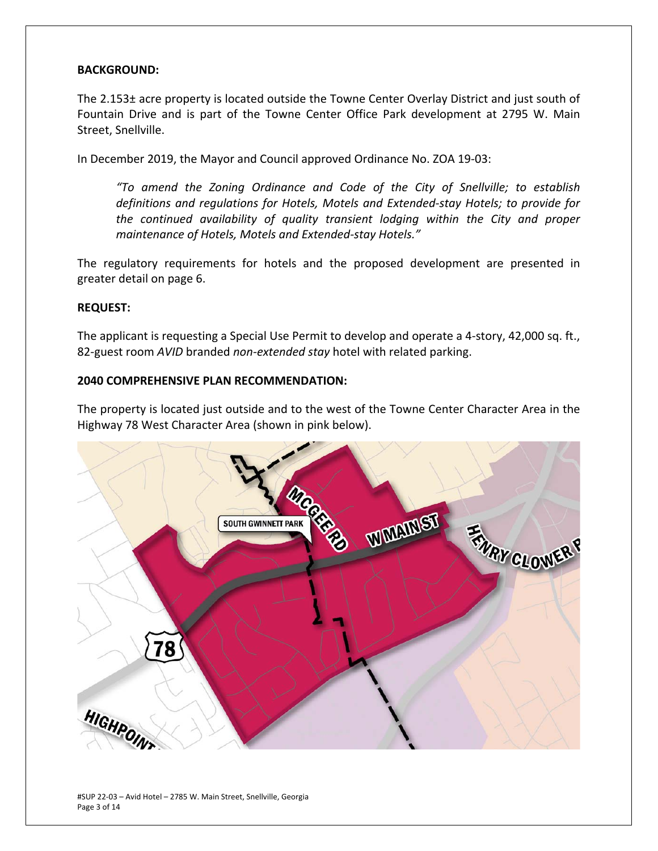#### **BACKGROUND:**

The 2.153± acre property is located outside the Towne Center Overlay District and just south of Fountain Drive and is part of the Towne Center Office Park development at 2795 W. Main Street, Snellville.

In December 2019, the Mayor and Council approved Ordinance No. ZOA 19‐03:

*"To amend the Zoning Ordinance and Code of the City of Snellville; to establish definitions and regulations for Hotels, Motels and Extended‐stay Hotels; to provide for the continued availability of quality transient lodging within the City and proper maintenance of Hotels, Motels and Extended‐stay Hotels."* 

The regulatory requirements for hotels and the proposed development are presented in greater detail on page 6.

#### **REQUEST:**

The applicant is requesting a Special Use Permit to develop and operate a 4‐story, 42,000 sq. ft., 82‐guest room *AVID* branded *non‐extended stay* hotel with related parking.

#### **2040 COMPREHENSIVE PLAN RECOMMENDATION:**

The property is located just outside and to the west of the Towne Center Character Area in the Highway 78 West Character Area (shown in pink below).

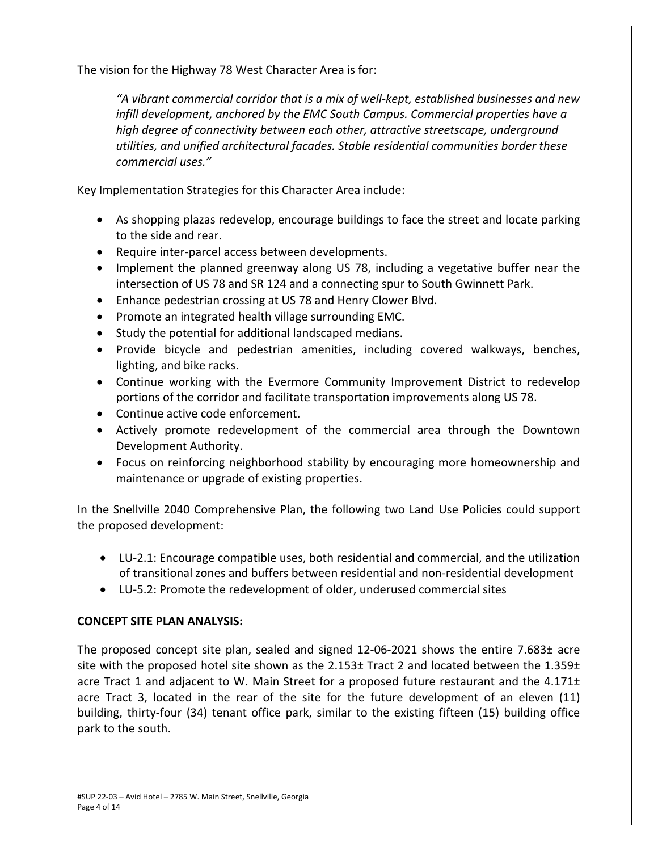The vision for the Highway 78 West Character Area is for:

*"A vibrant commercial corridor that is a mix of well‐kept, established businesses and new infill development, anchored by the EMC South Campus. Commercial properties have a high degree of connectivity between each other, attractive streetscape, underground utilities, and unified architectural facades. Stable residential communities border these commercial uses."* 

Key Implementation Strategies for this Character Area include:

- As shopping plazas redevelop, encourage buildings to face the street and locate parking to the side and rear.
- Require inter-parcel access between developments.
- Implement the planned greenway along US 78, including a vegetative buffer near the intersection of US 78 and SR 124 and a connecting spur to South Gwinnett Park.
- Enhance pedestrian crossing at US 78 and Henry Clower Blvd.
- Promote an integrated health village surrounding EMC.
- Study the potential for additional landscaped medians.
- Provide bicycle and pedestrian amenities, including covered walkways, benches, lighting, and bike racks.
- Continue working with the Evermore Community Improvement District to redevelop portions of the corridor and facilitate transportation improvements along US 78.
- Continue active code enforcement.
- Actively promote redevelopment of the commercial area through the Downtown Development Authority.
- Focus on reinforcing neighborhood stability by encouraging more homeownership and maintenance or upgrade of existing properties.

In the Snellville 2040 Comprehensive Plan, the following two Land Use Policies could support the proposed development:

- LU-2.1: Encourage compatible uses, both residential and commercial, and the utilization of transitional zones and buffers between residential and non‐residential development
- LU-5.2: Promote the redevelopment of older, underused commercial sites

## **CONCEPT SITE PLAN ANALYSIS:**

The proposed concept site plan, sealed and signed 12-06-2021 shows the entire 7.683± acre site with the proposed hotel site shown as the 2.153 $\pm$  Tract 2 and located between the 1.359 $\pm$ acre Tract 1 and adjacent to W. Main Street for a proposed future restaurant and the 4.171± acre Tract 3, located in the rear of the site for the future development of an eleven (11) building, thirty-four (34) tenant office park, similar to the existing fifteen (15) building office park to the south.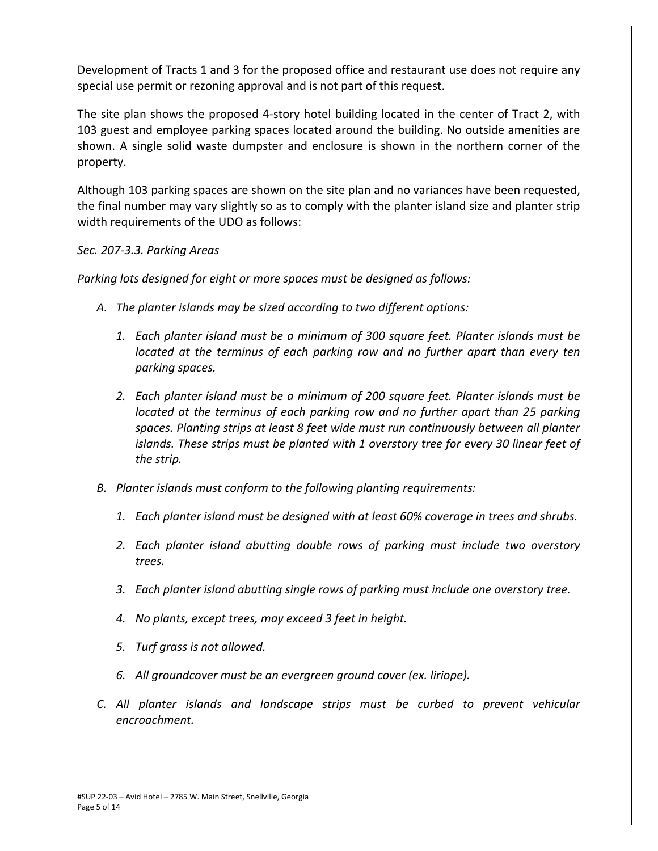Development of Tracts 1 and 3 for the proposed office and restaurant use does not require any special use permit or rezoning approval and is not part of this request.

The site plan shows the proposed 4‐story hotel building located in the center of Tract 2, with 103 guest and employee parking spaces located around the building. No outside amenities are shown. A single solid waste dumpster and enclosure is shown in the northern corner of the property.

Although 103 parking spaces are shown on the site plan and no variances have been requested, the final number may vary slightly so as to comply with the planter island size and planter strip width requirements of the UDO as follows:

## *Sec. 207‐3.3. Parking Areas*

*Parking lots designed for eight or more spaces must be designed as follows:* 

- *A. The planter islands may be sized according to two different options:* 
	- *1. Each planter island must be a minimum of 300 square feet. Planter islands must be located at the terminus of each parking row and no further apart than every ten parking spaces.*
	- *2. Each planter island must be a minimum of 200 square feet. Planter islands must be located at the terminus of each parking row and no further apart than 25 parking spaces. Planting strips at least 8 feet wide must run continuously between all planter islands. These strips must be planted with 1 overstory tree for every 30 linear feet of the strip.*
- *B. Planter islands must conform to the following planting requirements:* 
	- *1. Each planter island must be designed with at least 60% coverage in trees and shrubs.*
	- *2. Each planter island abutting double rows of parking must include two overstory trees.*
	- *3. Each planter island abutting single rows of parking must include one overstory tree.*
	- *4. No plants, except trees, may exceed 3 feet in height.*
	- *5. Turf grass is not allowed.*
	- *6. All groundcover must be an evergreen ground cover (ex. liriope).*
- *C. All planter islands and landscape strips must be curbed to prevent vehicular encroachment.*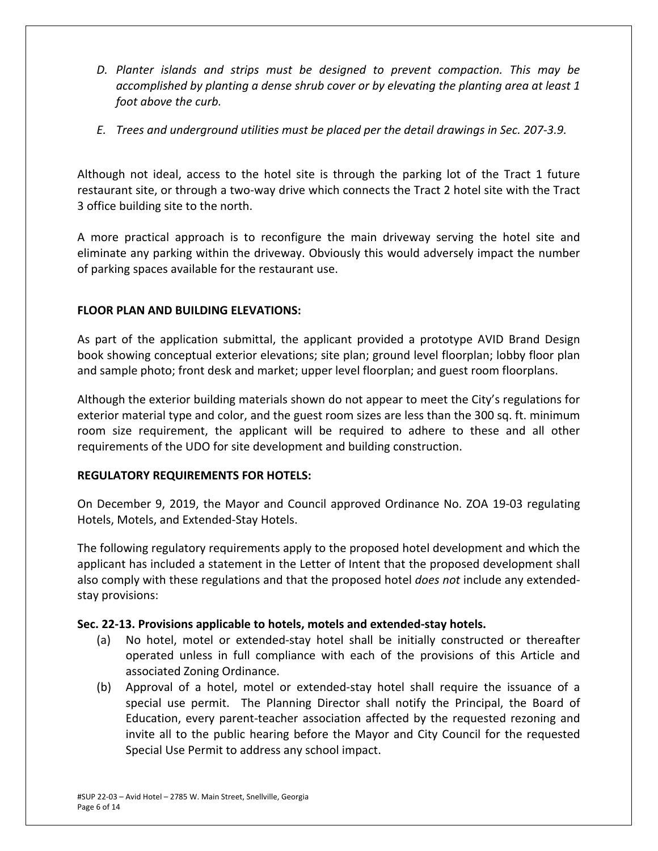- *D. Planter islands and strips must be designed to prevent compaction. This may be accomplished by planting a dense shrub cover or by elevating the planting area at least 1 foot above the curb.*
- *E. Trees and underground utilities must be placed per the detail drawings in Sec. 207‐3.9.*

Although not ideal, access to the hotel site is through the parking lot of the Tract 1 future restaurant site, or through a two‐way drive which connects the Tract 2 hotel site with the Tract 3 office building site to the north.

A more practical approach is to reconfigure the main driveway serving the hotel site and eliminate any parking within the driveway. Obviously this would adversely impact the number of parking spaces available for the restaurant use.

## **FLOOR PLAN AND BUILDING ELEVATIONS:**

As part of the application submittal, the applicant provided a prototype AVID Brand Design book showing conceptual exterior elevations; site plan; ground level floorplan; lobby floor plan and sample photo; front desk and market; upper level floorplan; and guest room floorplans.

Although the exterior building materials shown do not appear to meet the City's regulations for exterior material type and color, and the guest room sizes are less than the 300 sq. ft. minimum room size requirement, the applicant will be required to adhere to these and all other requirements of the UDO for site development and building construction.

## **REGULATORY REQUIREMENTS FOR HOTELS:**

On December 9, 2019, the Mayor and Council approved Ordinance No. ZOA 19‐03 regulating Hotels, Motels, and Extended‐Stay Hotels.

The following regulatory requirements apply to the proposed hotel development and which the applicant has included a statement in the Letter of Intent that the proposed development shall also comply with these regulations and that the proposed hotel *does not* include any extended‐ stay provisions:

## **Sec. 22‐13. Provisions applicable to hotels, motels and extended‐stay hotels.**

- (a) No hotel, motel or extended‐stay hotel shall be initially constructed or thereafter operated unless in full compliance with each of the provisions of this Article and associated Zoning Ordinance.
- (b) Approval of a hotel, motel or extended-stay hotel shall require the issuance of a special use permit. The Planning Director shall notify the Principal, the Board of Education, every parent‐teacher association affected by the requested rezoning and invite all to the public hearing before the Mayor and City Council for the requested Special Use Permit to address any school impact.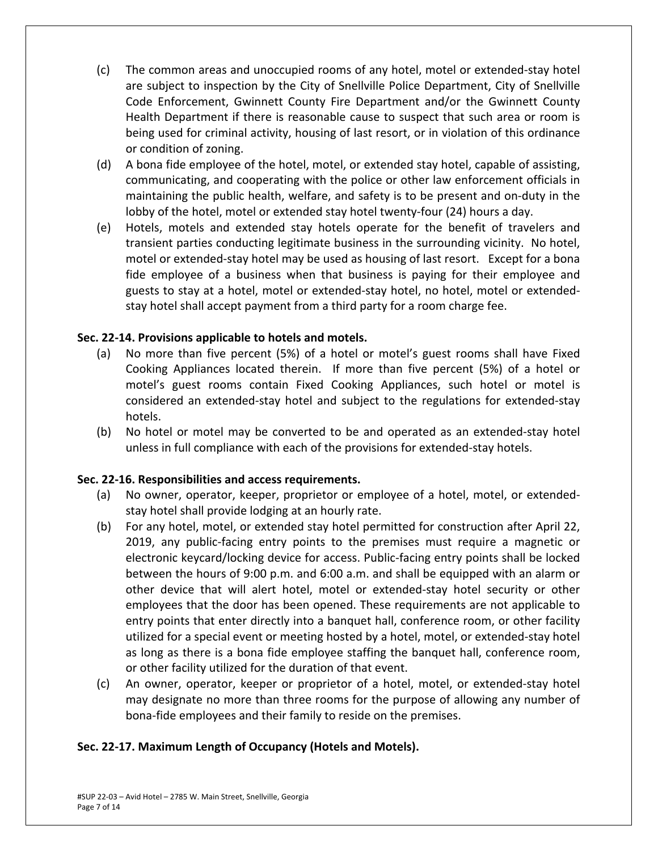- (c) The common areas and unoccupied rooms of any hotel, motel or extended‐stay hotel are subject to inspection by the City of Snellville Police Department, City of Snellville Code Enforcement, Gwinnett County Fire Department and/or the Gwinnett County Health Department if there is reasonable cause to suspect that such area or room is being used for criminal activity, housing of last resort, or in violation of this ordinance or condition of zoning.
- (d) A bona fide employee of the hotel, motel, or extended stay hotel, capable of assisting, communicating, and cooperating with the police or other law enforcement officials in maintaining the public health, welfare, and safety is to be present and on‐duty in the lobby of the hotel, motel or extended stay hotel twenty‐four (24) hours a day.
- (e) Hotels, motels and extended stay hotels operate for the benefit of travelers and transient parties conducting legitimate business in the surrounding vicinity. No hotel, motel or extended‐stay hotel may be used as housing of last resort. Except for a bona fide employee of a business when that business is paying for their employee and guests to stay at a hotel, motel or extended‐stay hotel, no hotel, motel or extended‐ stay hotel shall accept payment from a third party for a room charge fee.

## **Sec. 22‐14. Provisions applicable to hotels and motels.**

- (a) No more than five percent (5%) of a hotel or motel's guest rooms shall have Fixed Cooking Appliances located therein. If more than five percent (5%) of a hotel or motel's guest rooms contain Fixed Cooking Appliances, such hotel or motel is considered an extended‐stay hotel and subject to the regulations for extended‐stay hotels.
- (b) No hotel or motel may be converted to be and operated as an extended‐stay hotel unless in full compliance with each of the provisions for extended‐stay hotels.

## **Sec. 22‐16. Responsibilities and access requirements.**

- (a) No owner, operator, keeper, proprietor or employee of a hotel, motel, or extended‐ stay hotel shall provide lodging at an hourly rate.
- (b) For any hotel, motel, or extended stay hotel permitted for construction after April 22, 2019, any public‐facing entry points to the premises must require a magnetic or electronic keycard/locking device for access. Public‐facing entry points shall be locked between the hours of 9:00 p.m. and 6:00 a.m. and shall be equipped with an alarm or other device that will alert hotel, motel or extended‐stay hotel security or other employees that the door has been opened. These requirements are not applicable to entry points that enter directly into a banquet hall, conference room, or other facility utilized for a special event or meeting hosted by a hotel, motel, or extended‐stay hotel as long as there is a bona fide employee staffing the banquet hall, conference room, or other facility utilized for the duration of that event.
- (c) An owner, operator, keeper or proprietor of a hotel, motel, or extended‐stay hotel may designate no more than three rooms for the purpose of allowing any number of bona‐fide employees and their family to reside on the premises.

## **Sec. 22‐17. Maximum Length of Occupancy (Hotels and Motels).**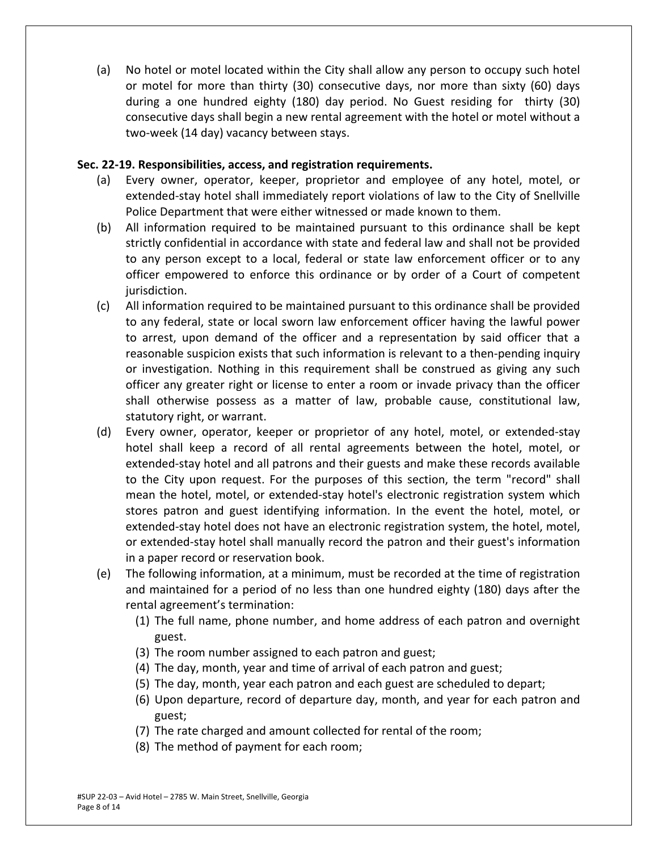(a) No hotel or motel located within the City shall allow any person to occupy such hotel or motel for more than thirty (30) consecutive days, nor more than sixty (60) days during a one hundred eighty (180) day period. No Guest residing for thirty (30) consecutive days shall begin a new rental agreement with the hotel or motel without a two‐week (14 day) vacancy between stays.

## **Sec. 22‐19. Responsibilities, access, and registration requirements.**

- (a) Every owner, operator, keeper, proprietor and employee of any hotel, motel, or extended‐stay hotel shall immediately report violations of law to the City of Snellville Police Department that were either witnessed or made known to them.
- (b) All information required to be maintained pursuant to this ordinance shall be kept strictly confidential in accordance with state and federal law and shall not be provided to any person except to a local, federal or state law enforcement officer or to any officer empowered to enforce this ordinance or by order of a Court of competent jurisdiction.
- (c) All information required to be maintained pursuant to this ordinance shall be provided to any federal, state or local sworn law enforcement officer having the lawful power to arrest, upon demand of the officer and a representation by said officer that a reasonable suspicion exists that such information is relevant to a then-pending inquiry or investigation. Nothing in this requirement shall be construed as giving any such officer any greater right or license to enter a room or invade privacy than the officer shall otherwise possess as a matter of law, probable cause, constitutional law, statutory right, or warrant.
- (d) Every owner, operator, keeper or proprietor of any hotel, motel, or extended‐stay hotel shall keep a record of all rental agreements between the hotel, motel, or extended‐stay hotel and all patrons and their guests and make these records available to the City upon request. For the purposes of this section, the term "record" shall mean the hotel, motel, or extended-stay hotel's electronic registration system which stores patron and guest identifying information. In the event the hotel, motel, or extended‐stay hotel does not have an electronic registration system, the hotel, motel, or extended‐stay hotel shall manually record the patron and their guest's information in a paper record or reservation book.
- (e) The following information, at a minimum, must be recorded at the time of registration and maintained for a period of no less than one hundred eighty (180) days after the rental agreement's termination:
	- (1) The full name, phone number, and home address of each patron and overnight guest.
	- (3) The room number assigned to each patron and guest;
	- (4) The day, month, year and time of arrival of each patron and guest;
	- (5) The day, month, year each patron and each guest are scheduled to depart;
	- (6) Upon departure, record of departure day, month, and year for each patron and guest;
	- (7) The rate charged and amount collected for rental of the room;
	- (8) The method of payment for each room;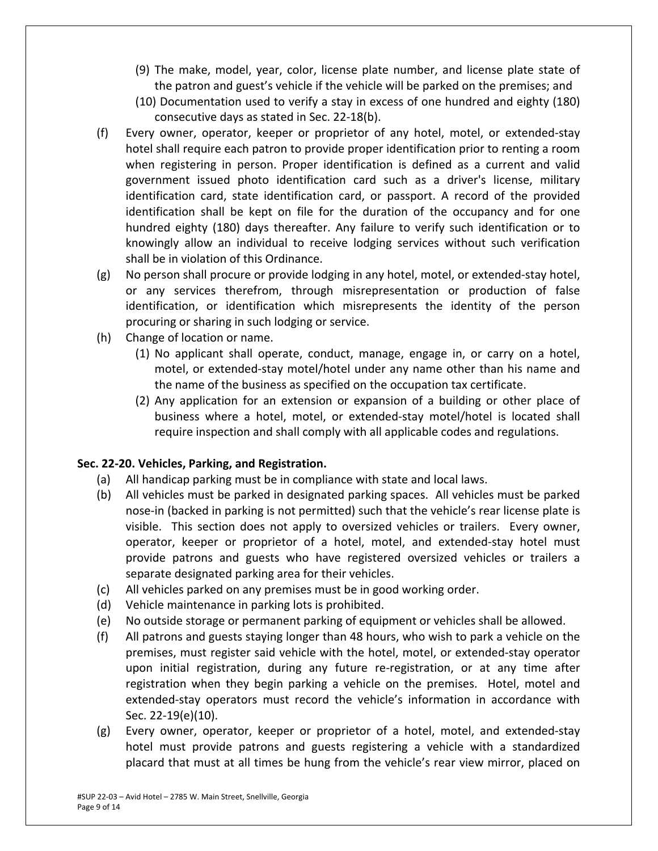- (9) The make, model, year, color, license plate number, and license plate state of the patron and guest's vehicle if the vehicle will be parked on the premises; and
- (10) Documentation used to verify a stay in excess of one hundred and eighty (180) consecutive days as stated in Sec. 22‐18(b).
- (f) Every owner, operator, keeper or proprietor of any hotel, motel, or extended‐stay hotel shall require each patron to provide proper identification prior to renting a room when registering in person. Proper identification is defined as a current and valid government issued photo identification card such as a driver's license, military identification card, state identification card, or passport. A record of the provided identification shall be kept on file for the duration of the occupancy and for one hundred eighty (180) days thereafter. Any failure to verify such identification or to knowingly allow an individual to receive lodging services without such verification shall be in violation of this Ordinance.
- (g) No person shall procure or provide lodging in any hotel, motel, or extended‐stay hotel, or any services therefrom, through misrepresentation or production of false identification, or identification which misrepresents the identity of the person procuring or sharing in such lodging or service.
- (h) Change of location or name.
	- (1) No applicant shall operate, conduct, manage, engage in, or carry on a hotel, motel, or extended‐stay motel/hotel under any name other than his name and the name of the business as specified on the occupation tax certificate.
	- (2) Any application for an extension or expansion of a building or other place of business where a hotel, motel, or extended‐stay motel/hotel is located shall require inspection and shall comply with all applicable codes and regulations.

## **Sec. 22‐20. Vehicles, Parking, and Registration.**

- (a) All handicap parking must be in compliance with state and local laws.
- (b) All vehicles must be parked in designated parking spaces. All vehicles must be parked nose-in (backed in parking is not permitted) such that the vehicle's rear license plate is visible. This section does not apply to oversized vehicles or trailers. Every owner, operator, keeper or proprietor of a hotel, motel, and extended‐stay hotel must provide patrons and guests who have registered oversized vehicles or trailers a separate designated parking area for their vehicles.
- (c) All vehicles parked on any premises must be in good working order.
- (d) Vehicle maintenance in parking lots is prohibited.
- (e) No outside storage or permanent parking of equipment or vehicles shall be allowed.
- (f) All patrons and guests staying longer than 48 hours, who wish to park a vehicle on the premises, must register said vehicle with the hotel, motel, or extended‐stay operator upon initial registration, during any future re-registration, or at any time after registration when they begin parking a vehicle on the premises. Hotel, motel and extended-stay operators must record the vehicle's information in accordance with Sec. 22‐19(e)(10).
- (g) Every owner, operator, keeper or proprietor of a hotel, motel, and extended‐stay hotel must provide patrons and guests registering a vehicle with a standardized placard that must at all times be hung from the vehicle's rear view mirror, placed on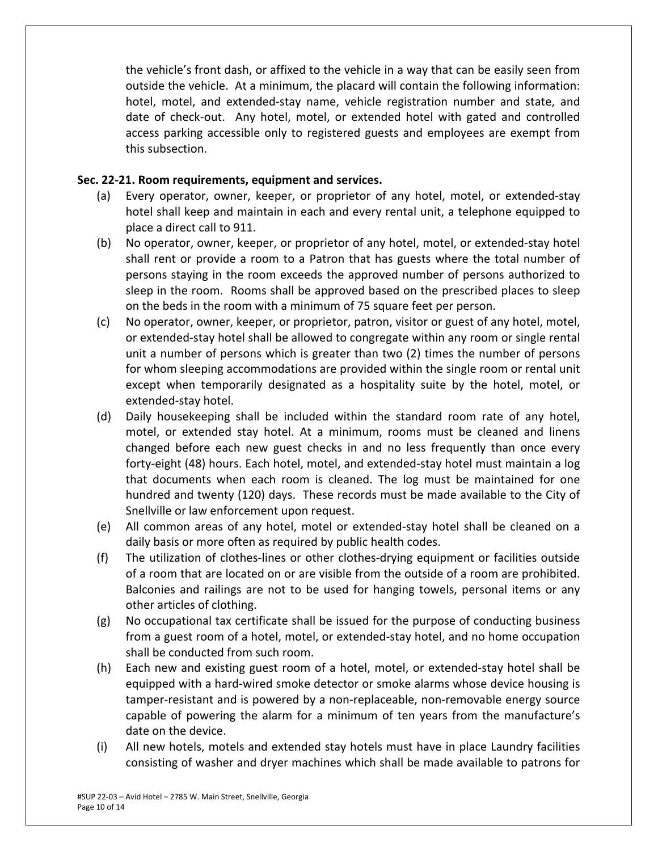the vehicle's front dash, or affixed to the vehicle in a way that can be easily seen from outside the vehicle. At a minimum, the placard will contain the following information: hotel, motel, and extended-stay name, vehicle registration number and state, and date of check-out. Any hotel, motel, or extended hotel with gated and controlled access parking accessible only to registered guests and employees are exempt from this subsection.

## **Sec. 22‐21. Room requirements, equipment and services.**

- (a) Every operator, owner, keeper, or proprietor of any hotel, motel, or extended‐stay hotel shall keep and maintain in each and every rental unit, a telephone equipped to place a direct call to 911.
- (b) No operator, owner, keeper, or proprietor of any hotel, motel, or extended‐stay hotel shall rent or provide a room to a Patron that has guests where the total number of persons staying in the room exceeds the approved number of persons authorized to sleep in the room. Rooms shall be approved based on the prescribed places to sleep on the beds in the room with a minimum of 75 square feet per person.
- (c) No operator, owner, keeper, or proprietor, patron, visitor or guest of any hotel, motel, or extended‐stay hotel shall be allowed to congregate within any room or single rental unit a number of persons which is greater than two (2) times the number of persons for whom sleeping accommodations are provided within the single room or rental unit except when temporarily designated as a hospitality suite by the hotel, motel, or extended‐stay hotel.
- (d) Daily housekeeping shall be included within the standard room rate of any hotel, motel, or extended stay hotel. At a minimum, rooms must be cleaned and linens changed before each new guest checks in and no less frequently than once every forty‐eight (48) hours. Each hotel, motel, and extended‐stay hotel must maintain a log that documents when each room is cleaned. The log must be maintained for one hundred and twenty (120) days. These records must be made available to the City of Snellville or law enforcement upon request.
- (e) All common areas of any hotel, motel or extended‐stay hotel shall be cleaned on a daily basis or more often as required by public health codes.
- (f) The utilization of clothes‐lines or other clothes‐drying equipment or facilities outside of a room that are located on or are visible from the outside of a room are prohibited. Balconies and railings are not to be used for hanging towels, personal items or any other articles of clothing.
- (g) No occupational tax certificate shall be issued for the purpose of conducting business from a guest room of a hotel, motel, or extended‐stay hotel, and no home occupation shall be conducted from such room.
- (h) Each new and existing guest room of a hotel, motel, or extended‐stay hotel shall be equipped with a hard‐wired smoke detector or smoke alarms whose device housing is tamper‐resistant and is powered by a non‐replaceable, non‐removable energy source capable of powering the alarm for a minimum of ten years from the manufacture's date on the device.
- (i) All new hotels, motels and extended stay hotels must have in place Laundry facilities consisting of washer and dryer machines which shall be made available to patrons for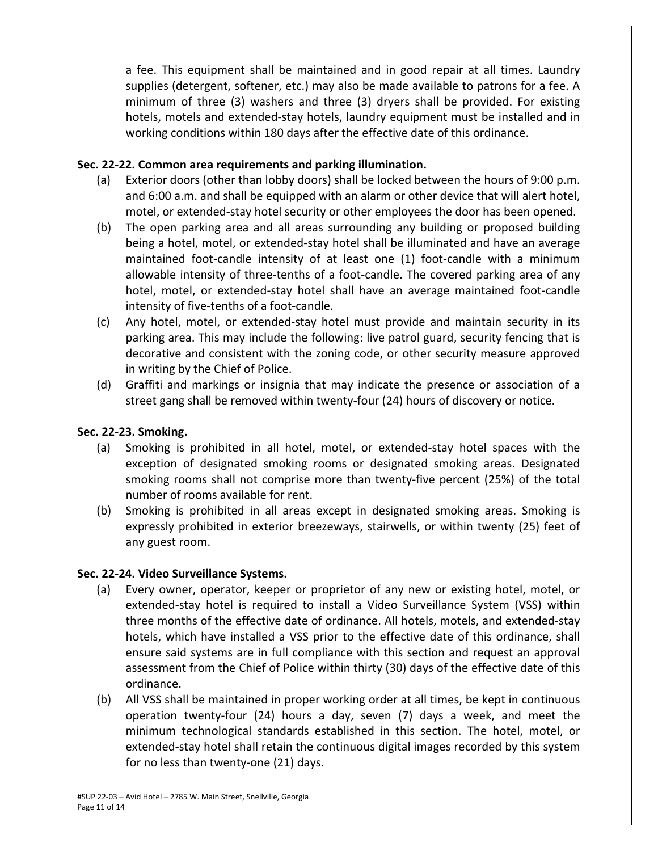a fee. This equipment shall be maintained and in good repair at all times. Laundry supplies (detergent, softener, etc.) may also be made available to patrons for a fee. A minimum of three (3) washers and three (3) dryers shall be provided. For existing hotels, motels and extended‐stay hotels, laundry equipment must be installed and in working conditions within 180 days after the effective date of this ordinance.

## **Sec. 22‐22. Common area requirements and parking illumination.**

- (a) Exterior doors (other than lobby doors) shall be locked between the hours of 9:00 p.m. and 6:00 a.m. and shall be equipped with an alarm or other device that will alert hotel, motel, or extended‐stay hotel security or other employees the door has been opened.
- (b) The open parking area and all areas surrounding any building or proposed building being a hotel, motel, or extended‐stay hotel shall be illuminated and have an average maintained foot-candle intensity of at least one (1) foot-candle with a minimum allowable intensity of three‐tenths of a foot‐candle. The covered parking area of any hotel, motel, or extended-stay hotel shall have an average maintained foot-candle intensity of five‐tenths of a foot‐candle.
- (c) Any hotel, motel, or extended‐stay hotel must provide and maintain security in its parking area. This may include the following: live patrol guard, security fencing that is decorative and consistent with the zoning code, or other security measure approved in writing by the Chief of Police.
- (d) Graffiti and markings or insignia that may indicate the presence or association of a street gang shall be removed within twenty‐four (24) hours of discovery or notice.

## **Sec. 22‐23. Smoking.**

- (a) Smoking is prohibited in all hotel, motel, or extended‐stay hotel spaces with the exception of designated smoking rooms or designated smoking areas. Designated smoking rooms shall not comprise more than twenty-five percent (25%) of the total number of rooms available for rent.
- (b) Smoking is prohibited in all areas except in designated smoking areas. Smoking is expressly prohibited in exterior breezeways, stairwells, or within twenty (25) feet of any guest room.

## **Sec. 22‐24. Video Surveillance Systems.**

- (a) Every owner, operator, keeper or proprietor of any new or existing hotel, motel, or extended-stay hotel is required to install a Video Surveillance System (VSS) within three months of the effective date of ordinance. All hotels, motels, and extended‐stay hotels, which have installed a VSS prior to the effective date of this ordinance, shall ensure said systems are in full compliance with this section and request an approval assessment from the Chief of Police within thirty (30) days of the effective date of this ordinance.
- (b) All VSS shall be maintained in proper working order at all times, be kept in continuous operation twenty‐four (24) hours a day, seven (7) days a week, and meet the minimum technological standards established in this section. The hotel, motel, or extended‐stay hotel shall retain the continuous digital images recorded by this system for no less than twenty-one (21) days.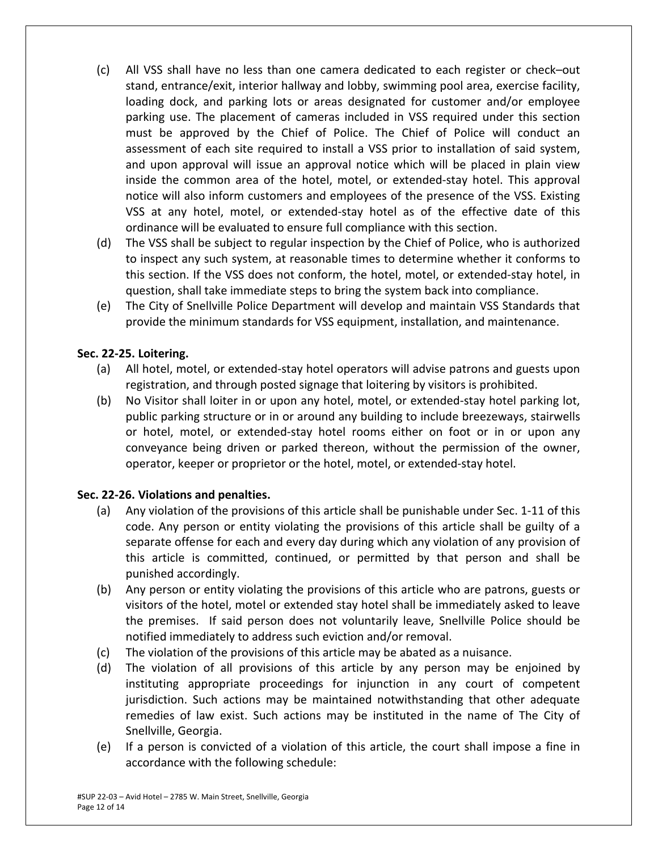- (c) All VSS shall have no less than one camera dedicated to each register or check–out stand, entrance/exit, interior hallway and lobby, swimming pool area, exercise facility, loading dock, and parking lots or areas designated for customer and/or employee parking use. The placement of cameras included in VSS required under this section must be approved by the Chief of Police. The Chief of Police will conduct an assessment of each site required to install a VSS prior to installation of said system, and upon approval will issue an approval notice which will be placed in plain view inside the common area of the hotel, motel, or extended-stay hotel. This approval notice will also inform customers and employees of the presence of the VSS. Existing VSS at any hotel, motel, or extended‐stay hotel as of the effective date of this ordinance will be evaluated to ensure full compliance with this section.
- (d) The VSS shall be subject to regular inspection by the Chief of Police, who is authorized to inspect any such system, at reasonable times to determine whether it conforms to this section. If the VSS does not conform, the hotel, motel, or extended‐stay hotel, in question, shall take immediate steps to bring the system back into compliance.
- (e) The City of Snellville Police Department will develop and maintain VSS Standards that provide the minimum standards for VSS equipment, installation, and maintenance.

## **Sec. 22‐25. Loitering.**

- (a) All hotel, motel, or extended‐stay hotel operators will advise patrons and guests upon registration, and through posted signage that loitering by visitors is prohibited.
- (b) No Visitor shall loiter in or upon any hotel, motel, or extended‐stay hotel parking lot, public parking structure or in or around any building to include breezeways, stairwells or hotel, motel, or extended‐stay hotel rooms either on foot or in or upon any conveyance being driven or parked thereon, without the permission of the owner, operator, keeper or proprietor or the hotel, motel, or extended‐stay hotel.

## **Sec. 22‐26. Violations and penalties.**

- (a) Any violation of the provisions of this article shall be punishable under Sec. 1‐11 of this code. Any person or entity violating the provisions of this article shall be guilty of a separate offense for each and every day during which any violation of any provision of this article is committed, continued, or permitted by that person and shall be punished accordingly.
- (b) Any person or entity violating the provisions of this article who are patrons, guests or visitors of the hotel, motel or extended stay hotel shall be immediately asked to leave the premises. If said person does not voluntarily leave, Snellville Police should be notified immediately to address such eviction and/or removal.
- (c) The violation of the provisions of this article may be abated as a nuisance.
- (d) The violation of all provisions of this article by any person may be enjoined by instituting appropriate proceedings for injunction in any court of competent jurisdiction. Such actions may be maintained notwithstanding that other adequate remedies of law exist. Such actions may be instituted in the name of The City of Snellville, Georgia.
- (e) If a person is convicted of a violation of this article, the court shall impose a fine in accordance with the following schedule: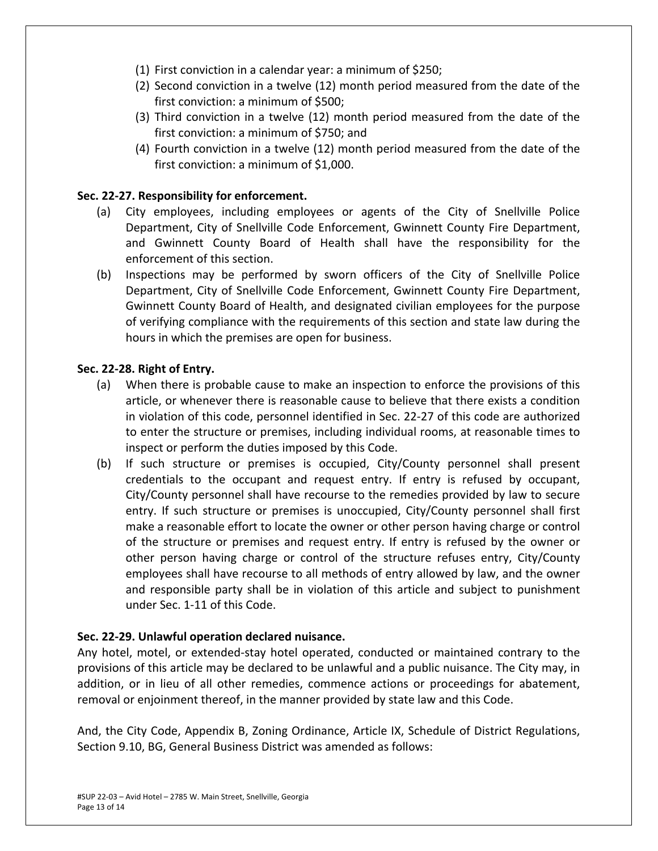- (1) First conviction in a calendar year: a minimum of \$250;
- (2) Second conviction in a twelve (12) month period measured from the date of the first conviction: a minimum of \$500;
- (3) Third conviction in a twelve (12) month period measured from the date of the first conviction: a minimum of \$750; and
- (4) Fourth conviction in a twelve (12) month period measured from the date of the first conviction: a minimum of \$1,000.

## **Sec. 22‐27. Responsibility for enforcement.**

- (a) City employees, including employees or agents of the City of Snellville Police Department, City of Snellville Code Enforcement, Gwinnett County Fire Department, and Gwinnett County Board of Health shall have the responsibility for the enforcement of this section.
- (b) Inspections may be performed by sworn officers of the City of Snellville Police Department, City of Snellville Code Enforcement, Gwinnett County Fire Department, Gwinnett County Board of Health, and designated civilian employees for the purpose of verifying compliance with the requirements of this section and state law during the hours in which the premises are open for business.

#### **Sec. 22‐28. Right of Entry.**

- (a) When there is probable cause to make an inspection to enforce the provisions of this article, or whenever there is reasonable cause to believe that there exists a condition in violation of this code, personnel identified in Sec. 22‐27 of this code are authorized to enter the structure or premises, including individual rooms, at reasonable times to inspect or perform the duties imposed by this Code.
- (b) If such structure or premises is occupied, City/County personnel shall present credentials to the occupant and request entry. If entry is refused by occupant, City/County personnel shall have recourse to the remedies provided by law to secure entry. If such structure or premises is unoccupied, City/County personnel shall first make a reasonable effort to locate the owner or other person having charge or control of the structure or premises and request entry. If entry is refused by the owner or other person having charge or control of the structure refuses entry, City/County employees shall have recourse to all methods of entry allowed by law, and the owner and responsible party shall be in violation of this article and subject to punishment under Sec. 1‐11 of this Code.

## **Sec. 22‐29. Unlawful operation declared nuisance.**

Any hotel, motel, or extended‐stay hotel operated, conducted or maintained contrary to the provisions of this article may be declared to be unlawful and a public nuisance. The City may, in addition, or in lieu of all other remedies, commence actions or proceedings for abatement, removal or enjoinment thereof, in the manner provided by state law and this Code.

And, the City Code, Appendix B, Zoning Ordinance, Article IX, Schedule of District Regulations, Section 9.10, BG, General Business District was amended as follows: